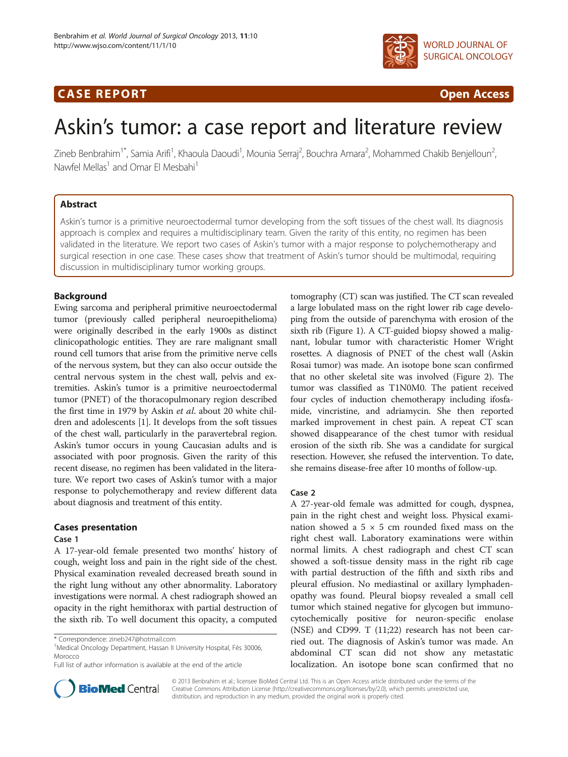# **CASE REPORT CASE ACCESS**



# Askin's tumor: a case report and literature review

Zineb Benbrahim<sup>1\*</sup>, Samia Arifi<sup>1</sup>, Khaoula Daoudi<sup>1</sup>, Mounia Serraj<sup>2</sup>, Bouchra Amara<sup>2</sup>, Mohammed Chakib Benjelloun<sup>2</sup> , Nawfel Mellas<sup>1</sup> and Omar El Mesbahi<sup>1</sup>

# Abstract

Askin's tumor is a primitive neuroectodermal tumor developing from the soft tissues of the chest wall. Its diagnosis approach is complex and requires a multidisciplinary team. Given the rarity of this entity, no regimen has been validated in the literature. We report two cases of Askin's tumor with a major response to polychemotherapy and surgical resection in one case. These cases show that treatment of Askin's tumor should be multimodal, requiring discussion in multidisciplinary tumor working groups.

# Background

Ewing sarcoma and peripheral primitive neuroectodermal tumor (previously called peripheral neuroepithelioma) were originally described in the early 1900s as distinct clinicopathologic entities. They are rare malignant small round cell tumors that arise from the primitive nerve cells of the nervous system, but they can also occur outside the central nervous system in the chest wall, pelvis and extremities. Askin's tumor is a primitive neuroectodermal tumor (PNET) of the thoracopulmonary region described the first time in 1979 by Askin et al. about 20 white children and adolescents [\[1\]](#page-2-0). It develops from the soft tissues of the chest wall, particularly in the paravertebral region. Askin's tumor occurs in young Caucasian adults and is associated with poor prognosis. Given the rarity of this recent disease, no regimen has been validated in the literature. We report two cases of Askin's tumor with a major response to polychemotherapy and review different data about diagnosis and treatment of this entity.

# Cases presentation

#### Case 1

A 17-year-old female presented two months' history of cough, weight loss and pain in the right side of the chest. Physical examination revealed decreased breath sound in the right lung without any other abnormality. Laboratory investigations were normal. A chest radiograph showed an opacity in the right hemithorax with partial destruction of the sixth rib. To well document this opacity, a computed



#### Case 2

A 27-year-old female was admitted for cough, dyspnea, pain in the right chest and weight loss. Physical examination showed a  $5 \times 5$  cm rounded fixed mass on the right chest wall. Laboratory examinations were within normal limits. A chest radiograph and chest CT scan showed a soft-tissue density mass in the right rib cage with partial destruction of the fifth and sixth ribs and pleural effusion. No mediastinal or axillary lymphadenopathy was found. Pleural biopsy revealed a small cell tumor which stained negative for glycogen but immunocytochemically positive for neuron-specific enolase (NSE) and CD99. T (11;22) research has not been carried out. The diagnosis of Askin's tumor was made. An abdominal CT scan did not show any metastatic localization. An isotope bone scan confirmed that no



© 2013 Benbrahim et al.; licensee BioMed Central Ltd. This is an Open Access article distributed under the terms of the Creative Commons Attribution License (<http://creativecommons.org/licenses/by/2.0>), which permits unrestricted use, distribution, and reproduction in any medium, provided the original work is properly cited.

<sup>\*</sup> Correspondence: [zineb247@hotmail.com](mailto:zineb247@hotmail.com) <sup>1</sup>

<sup>&</sup>lt;sup>1</sup>Medical Oncology Department, Hassan II University Hospital, Fès 30006, Morocco

Full list of author information is available at the end of the article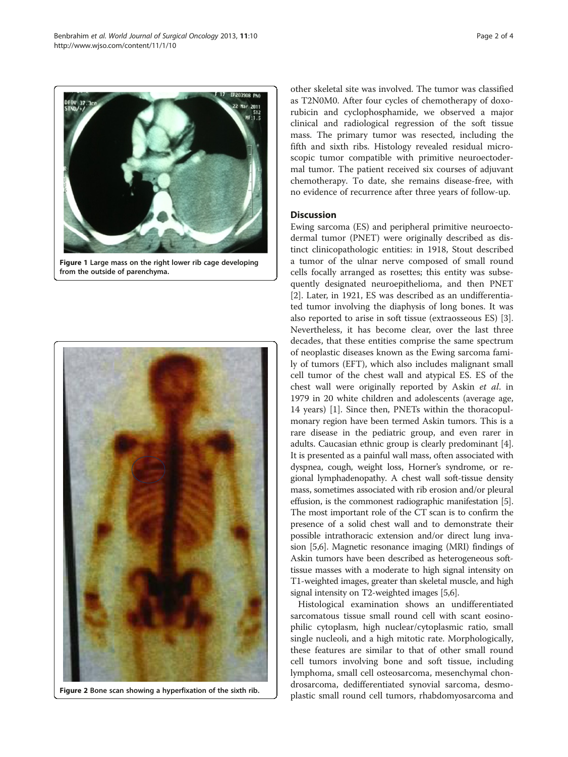<span id="page-1-0"></span>

Figure 1 Large mass on the right lower rib cage developing from the outside of parenchyma.



Figure 2 Bone scan showing a hyperfixation of the sixth rib.

other skeletal site was involved. The tumor was classified as T2N0M0. After four cycles of chemotherapy of doxorubicin and cyclophosphamide, we observed a major clinical and radiological regression of the soft tissue mass. The primary tumor was resected, including the fifth and sixth ribs. Histology revealed residual microscopic tumor compatible with primitive neuroectodermal tumor. The patient received six courses of adjuvant chemotherapy. To date, she remains disease-free, with no evidence of recurrence after three years of follow-up.

# **Discussion**

Ewing sarcoma (ES) and peripheral primitive neuroectodermal tumor (PNET) were originally described as distinct clinicopathologic entities: in 1918, Stout described a tumor of the ulnar nerve composed of small round cells focally arranged as rosettes; this entity was subsequently designated neuroepithelioma, and then PNET [[2\]](#page-2-0). Later, in 1921, ES was described as an undifferentiated tumor involving the diaphysis of long bones. It was also reported to arise in soft tissue (extraosseous ES) [\[3](#page-2-0)]. Nevertheless, it has become clear, over the last three decades, that these entities comprise the same spectrum of neoplastic diseases known as the Ewing sarcoma family of tumors (EFT), which also includes malignant small cell tumor of the chest wall and atypical ES. ES of the chest wall were originally reported by Askin et al. in 1979 in 20 white children and adolescents (average age, 14 years) [[1\]](#page-2-0). Since then, PNETs within the thoracopulmonary region have been termed Askin tumors. This is a rare disease in the pediatric group, and even rarer in adults. Caucasian ethnic group is clearly predominant [[4](#page-2-0)]. It is presented as a painful wall mass, often associated with dyspnea, cough, weight loss, Horner's syndrome, or regional lymphadenopathy. A chest wall soft-tissue density mass, sometimes associated with rib erosion and/or pleural effusion, is the commonest radiographic manifestation [[5](#page-2-0)]. The most important role of the CT scan is to confirm the presence of a solid chest wall and to demonstrate their possible intrathoracic extension and/or direct lung invasion [[5,6](#page-2-0)]. Magnetic resonance imaging (MRI) findings of Askin tumors have been described as heterogeneous softtissue masses with a moderate to high signal intensity on T1-weighted images, greater than skeletal muscle, and high signal intensity on T2-weighted images [\[5,6\]](#page-2-0).

Histological examination shows an undifferentiated sarcomatous tissue small round cell with scant eosinophilic cytoplasm, high nuclear/cytoplasmic ratio, small single nucleoli, and a high mitotic rate. Morphologically, these features are similar to that of other small round cell tumors involving bone and soft tissue, including lymphoma, small cell osteosarcoma, mesenchymal chondrosarcoma, dedifferentiated synovial sarcoma, desmoplastic small round cell tumors, rhabdomyosarcoma and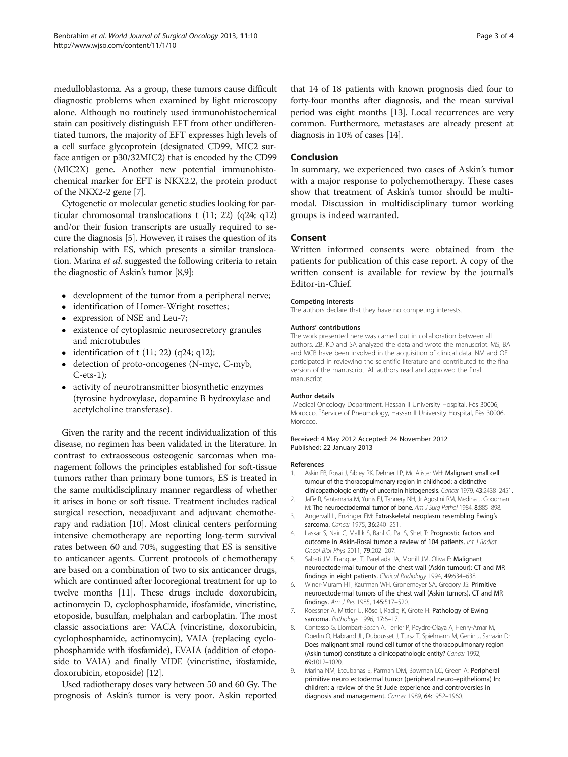<span id="page-2-0"></span>medulloblastoma. As a group, these tumors cause difficult diagnostic problems when examined by light microscopy alone. Although no routinely used immunohistochemical stain can positively distinguish EFT from other undifferentiated tumors, the majority of EFT expresses high levels of a cell surface glycoprotein (designated CD99, MIC2 surface antigen or p30/32MIC2) that is encoded by the CD99 (MIC2X) gene. Another new potential immunohistochemical marker for EFT is NKX2.2, the protein product of the NKX2-2 gene [7].

Cytogenetic or molecular genetic studies looking for particular chromosomal translocations t (11; 22) (q24; q12) and/or their fusion transcripts are usually required to secure the diagnosis [5]. However, it raises the question of its relationship with ES, which presents a similar translocation. Marina et al. suggested the following criteria to retain the diagnostic of Askin's tumor [8,9]:

- development of the tumor from a peripheral nerve;
- identification of Homer-Wright rosettes;
- expression of NSE and Leu-7;
- existence of cytoplasmic neurosecretory granules and microtubules
- $\bullet$  identification of t (11; 22) (q24; q12);
- detection of proto-oncogenes (N-myc, C-myb, C-ets-1);
- activity of neurotransmitter biosynthetic enzymes (tyrosine hydroxylase, dopamine B hydroxylase and acetylcholine transferase).

Given the rarity and the recent individualization of this disease, no regimen has been validated in the literature. In contrast to extraosseous osteogenic sarcomas when management follows the principles established for soft-tissue tumors rather than primary bone tumors, ES is treated in the same multidisciplinary manner regardless of whether it arises in bone or soft tissue. Treatment includes radical surgical resection, neoadjuvant and adjuvant chemotherapy and radiation [[10](#page-3-0)]. Most clinical centers performing intensive chemotherapy are reporting long-term survival rates between 60 and 70%, suggesting that ES is sensitive to anticancer agents. Current protocols of chemotherapy are based on a combination of two to six anticancer drugs, which are continued after locoregional treatment for up to twelve months [\[11\]](#page-3-0). These drugs include doxorubicin, actinomycin D, cyclophosphamide, ifosfamide, vincristine, etoposide, busulfan, melphalan and carboplatin. The most classic associations are: VACA (vincristine, doxorubicin, cyclophosphamide, actinomycin), VAIA (replacing cyclophosphamide with ifosfamide), EVAIA (addition of etoposide to VAIA) and finally VIDE (vincristine, ifosfamide, doxorubicin, etoposide) [[12](#page-3-0)].

Used radiotherapy doses vary between 50 and 60 Gy. The prognosis of Askin's tumor is very poor. Askin reported that 14 of 18 patients with known prognosis died four to forty-four months after diagnosis, and the mean survival period was eight months [[13](#page-3-0)]. Local recurrences are very common. Furthermore, metastases are already present at diagnosis in 10% of cases [\[14\]](#page-3-0).

#### Conclusion

In summary, we experienced two cases of Askin's tumor with a major response to polychemotherapy. These cases show that treatment of Askin's tumor should be multimodal. Discussion in multidisciplinary tumor working groups is indeed warranted.

### Consent

Written informed consents were obtained from the patients for publication of this case report. A copy of the written consent is available for review by the journal's Editor-in-Chief.

#### Competing interests

The authors declare that they have no competing interests.

#### Authors' contributions

The work presented here was carried out in collaboration between all authors. ZB, KD and SA analyzed the data and wrote the manuscript. MS, BA and MCB have been involved in the acquisition of clinical data. NM and OE participated in reviewing the scientific literature and contributed to the final version of the manuscript. All authors read and approved the final manuscript.

#### Author details

<sup>1</sup> Medical Oncology Department, Hassan II University Hospital, Fès 30006 Morocco. <sup>2</sup> Service of Pneumology, Hassan II University Hospital, Fès 30006, Morocco.

Received: 4 May 2012 Accepted: 24 November 2012 Published: 22 January 2013

#### References

- Askin FB, Rosai J, Sibley RK, Dehner LP, Mc Alister WH: Malignant small cell tumour of the thoracopulmonary region in childhood: a distinctive clinicopathologic entity of uncertain histogenesis. Cancer 1979, 43:2438–2451.
- 2. Jaffe R, Santamaria M, Yunis EJ, Tannery NH, Jr Agostini RM, Medina J, Goodman M: The neuroectodermal tumor of bone. Am J Surg Pathol 1984, 8:885–898.
- 3. Angervall L, Enzinger FM: Extraskeletal neoplasm resembling Ewing's sarcoma. Cancer 1975, 36:240–251.
- 4. Laskar S, Nair C, Mallik S, Bahl G, Pai S, Shet T: Prognostic factors and outcome in Askin-Rosai tumor: a review of 104 patients. Int J Radiat Oncol Biol Phys 2011, 79:202–207.
- Sabati JM, Franquet T, Parellada JA, Monill JM, Oliva E: Malignant neuroectodermal tumour of the chest wall (Askin tumour): CT and MR findings in eight patients. Clinical Radiology 1994, 49:634-638.
- 6. Winer-Muram HT, Kaufman WH, Gronemeyer SA, Gregory JS: Primitive neuroectodermal tumors of the chest wall (Askin tumors). CT and MR findings. Am J Res 1985, 145:517–520.
- 7. Roessner A, Mittler U, Röse I, Radig K, Grote H: Pathology of Ewing sarcoma. Pathologe 1996, 17:6–17.
- Contesso G, Llombart-Bosch A, Terrier P, Peydro-Olaya A, Henry-Amar M, Oberlin O, Habrand JL, Dubousset J, Tursz T, Spielmann M, Genin J, Sarrazin D: Does malignant small round cell tumor of the thoracopulmonary region (Askin tumor) constitute a clinicopathologic entity? Cancer 1992, 69:1012–1020.
- 9. Marina NM, Etcubanas E, Parman DM, Bowman LC, Green A: Peripheral primitive neuro ectodermal tumor (peripheral neuro-epithelioma) In: children: a review of the St Jude experience and controversies in diagnosis and management. Cancer 1989, 64:1952–1960.